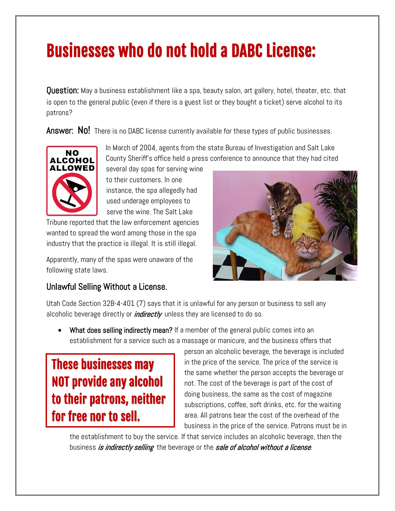## Businesses who do not hold a DABC License:

Question: May a business establishment like a spa, beauty salon, art gallery, hotel, theater, etc. that is open to the general public (even if there is a guest list or they bought a ticket) serve alcohol to its patrons?

Answer: No! There is no DABC license currently available for these types of public businesses.



In March of 2004, agents from the state Bureau of Investigation and Salt Lake County Sheriff's office held a press conference to announce that they had cited

several day spas for serving wine to their customers. In one instance, the spa allegedly had used underage employees to serve the wine. The Salt Lake

Tribune reported that the law enforcement agencies wanted to spread the word among those in the spa industry that the practice is illegal. It is still illegal.

Apparently, many of the spas were unaware of the following state laws.

## Unlawful Selling Without a License.



Utah Code Section 32B-4-401 (7) says that it is unlawful for any person or business to sell any alcoholic beverage directly or *indirectly* unless they are licensed to do so.

• What does selling indirectly mean? If a member of the general public comes into an establishment for a service such as a massage or manicure, and the business offers that

These businesses may NOT provide any alcohol to their patrons, neither for free nor to sell.

person an alcoholic beverage, the beverage is included in the price of the service. The price of the service is the same whether the person accepts the beverage or not. The cost of the beverage is part of the cost of doing business, the same as the cost of magazine subscriptions, coffee, soft drinks, etc. for the waiting area. All patrons bear the cost of the overhead of the business in the price of the service. Patrons must be in

the establishment to buy the service. If that service includes an alcoholic beverage, then the business *is indirectly selling* the beverage or the *sale of alcohol without a license*.